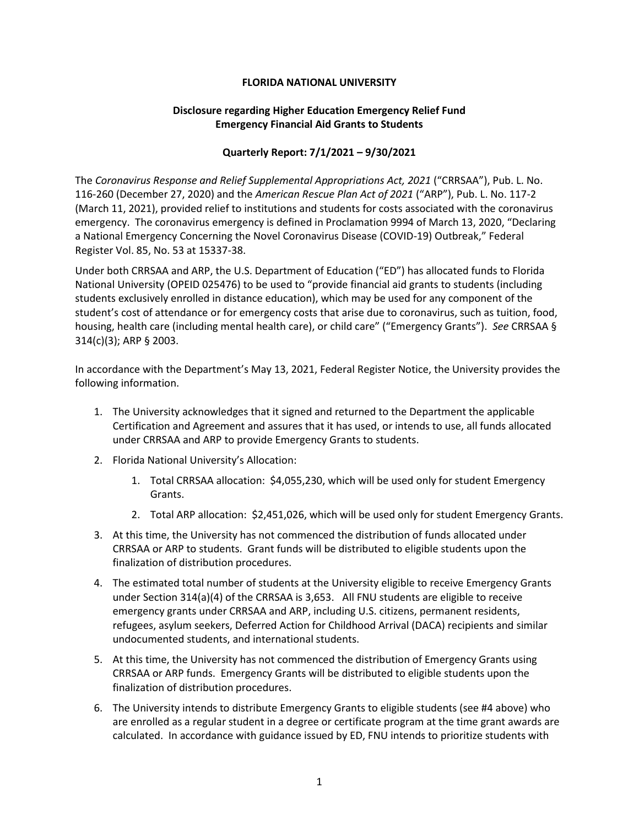## **FLORIDA NATIONAL UNIVERSITY**

## **Disclosure regarding Higher Education Emergency Relief Fund Emergency Financial Aid Grants to Students**

## **Quarterly Report: 7/1/2021 – 9/30/2021**

The *Coronavirus Response and Relief Supplemental Appropriations Act, 2021* ("CRRSAA"), Pub. L. No. 116-260 (December 27, 2020) and the *American Rescue Plan Act of 2021* ("ARP"), Pub. L. No. 117-2 (March 11, 2021), provided relief to institutions and students for costs associated with the coronavirus emergency. The coronavirus emergency is defined in Proclamation 9994 of March 13, 2020, "Declaring a National Emergency Concerning the Novel Coronavirus Disease (COVID-19) Outbreak," Federal Register Vol. 85, No. 53 at 15337-38.

Under both CRRSAA and ARP, the U.S. Department of Education ("ED") has allocated funds to Florida National University (OPEID 025476) to be used to "provide financial aid grants to students (including students exclusively enrolled in distance education), which may be used for any component of the student's cost of attendance or for emergency costs that arise due to coronavirus, such as tuition, food, housing, health care (including mental health care), or child care" ("Emergency Grants"). *See* CRRSAA § 314(c)(3); ARP § 2003.

In accordance with the Department's May 13, 2021, Federal Register Notice, the University provides the following information.

- 1. The University acknowledges that it signed and returned to the Department the applicable Certification and Agreement and assures that it has used, or intends to use, all funds allocated under CRRSAA and ARP to provide Emergency Grants to students.
- 2. Florida National University's Allocation:
	- 1. Total CRRSAA allocation: \$4,055,230, which will be used only for student Emergency Grants.
	- 2. Total ARP allocation: \$2,451,026, which will be used only for student Emergency Grants.
- 3. At this time, the University has not commenced the distribution of funds allocated under CRRSAA or ARP to students. Grant funds will be distributed to eligible students upon the finalization of distribution procedures.
- 4. The estimated total number of students at the University eligible to receive Emergency Grants under Section 314(a)(4) of the CRRSAA is 3,653. All FNU students are eligible to receive emergency grants under CRRSAA and ARP, including U.S. citizens, permanent residents, refugees, asylum seekers, Deferred Action for Childhood Arrival (DACA) recipients and similar undocumented students, and international students.
- 5. At this time, the University has not commenced the distribution of Emergency Grants using CRRSAA or ARP funds. Emergency Grants will be distributed to eligible students upon the finalization of distribution procedures.
- 6. The University intends to distribute Emergency Grants to eligible students (see #4 above) who are enrolled as a regular student in a degree or certificate program at the time grant awards are calculated. In accordance with guidance issued by ED, FNU intends to prioritize students with